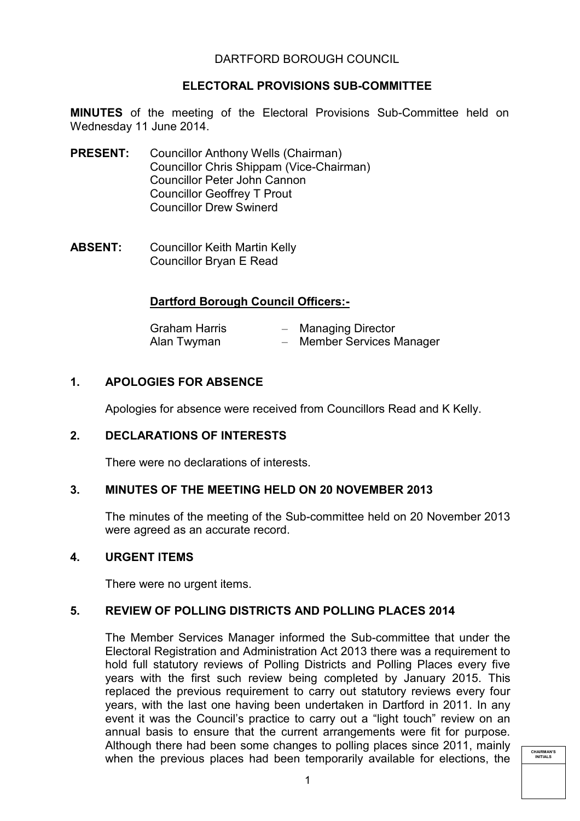## DARTFORD BOROUGH COUNCIL

## **ELECTORAL PROVISIONS SUB-COMMITTEE**

**MINUTES** of the meeting of the Electoral Provisions Sub-Committee held on Wednesday 11 June 2014.

- **PRESENT:** Councillor Anthony Wells (Chairman) Councillor Chris Shippam (Vice-Chairman) Councillor Peter John Cannon Councillor Geoffrey T Prout Councillor Drew Swinerd
- **ABSENT:** Councillor Keith Martin Kelly Councillor Bryan E Read

## **Dartford Borough Council Officers:-**

| <b>Graham Harris</b> | - Managing Director       |
|----------------------|---------------------------|
| Alan Twyman          | - Member Services Manager |

# **1. APOLOGIES FOR ABSENCE**

Apologies for absence were received from Councillors Read and K Kelly.

#### **2. DECLARATIONS OF INTERESTS**

There were no declarations of interests.

#### **3. MINUTES OF THE MEETING HELD ON 20 NOVEMBER 2013**

The minutes of the meeting of the Sub-committee held on 20 November 2013 were agreed as an accurate record.

#### **4. URGENT ITEMS**

There were no urgent items.

#### **5. REVIEW OF POLLING DISTRICTS AND POLLING PLACES 2014**

The Member Services Manager informed the Sub-committee that under the Electoral Registration and Administration Act 2013 there was a requirement to hold full statutory reviews of Polling Districts and Polling Places every five years with the first such review being completed by January 2015. This replaced the previous requirement to carry out statutory reviews every four years, with the last one having been undertaken in Dartford in 2011. In any event it was the Council's practice to carry out a "light touch" review on an annual basis to ensure that the current arrangements were fit for purpose. Although there had been some changes to polling places since 2011, mainly when the previous places had been temporarily available for elections, the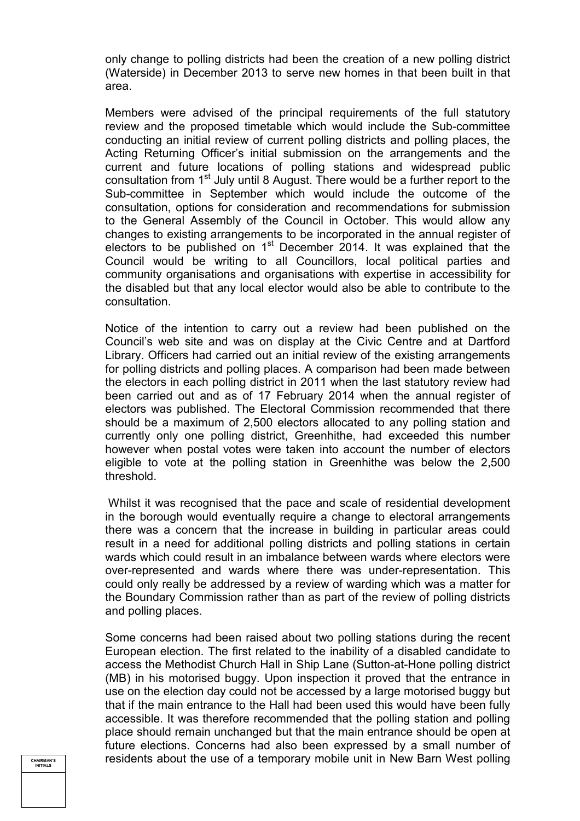only change to polling districts had been the creation of a new polling district (Waterside) in December 2013 to serve new homes in that been built in that area.

Members were advised of the principal requirements of the full statutory review and the proposed timetable which would include the Sub-committee conducting an initial review of current polling districts and polling places, the Acting Returning Officer's initial submission on the arrangements and the current and future locations of polling stations and widespread public consultation from 1<sup>st</sup> July until 8 August. There would be a further report to the Sub-committee in September which would include the outcome of the consultation, options for consideration and recommendations for submission to the General Assembly of the Council in October. This would allow any changes to existing arrangements to be incorporated in the annual register of electors to be published on  $1<sup>st</sup>$  December 2014. It was explained that the Council would be writing to all Councillors, local political parties and community organisations and organisations with expertise in accessibility for the disabled but that any local elector would also be able to contribute to the consultation.

Notice of the intention to carry out a review had been published on the Council's web site and was on display at the Civic Centre and at Dartford Library. Officers had carried out an initial review of the existing arrangements for polling districts and polling places. A comparison had been made between the electors in each polling district in 2011 when the last statutory review had been carried out and as of 17 February 2014 when the annual register of electors was published. The Electoral Commission recommended that there should be a maximum of 2,500 electors allocated to any polling station and currently only one polling district, Greenhithe, had exceeded this number however when postal votes were taken into account the number of electors eligible to vote at the polling station in Greenhithe was below the 2,500 threshold.

 Whilst it was recognised that the pace and scale of residential development in the borough would eventually require a change to electoral arrangements there was a concern that the increase in building in particular areas could result in a need for additional polling districts and polling stations in certain wards which could result in an imbalance between wards where electors were over-represented and wards where there was under-representation. This could only really be addressed by a review of warding which was a matter for the Boundary Commission rather than as part of the review of polling districts and polling places.

Some concerns had been raised about two polling stations during the recent European election. The first related to the inability of a disabled candidate to access the Methodist Church Hall in Ship Lane (Sutton-at-Hone polling district (MB) in his motorised buggy. Upon inspection it proved that the entrance in use on the election day could not be accessed by a large motorised buggy but that if the main entrance to the Hall had been used this would have been fully accessible. It was therefore recommended that the polling station and polling place should remain unchanged but that the main entrance should be open at future elections. Concerns had also been expressed by a small number of residents about the use of a temporary mobile unit in New Barn West polling

**CHAIRMAN'S INITIALS**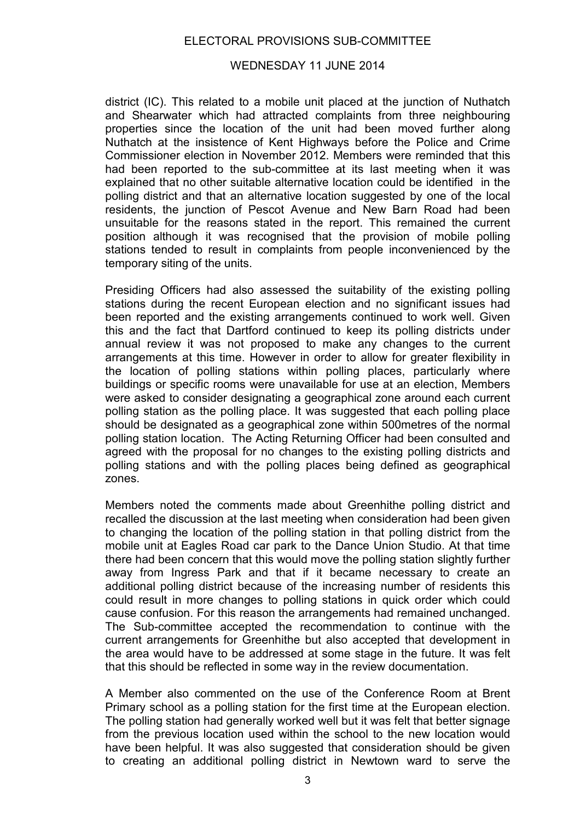## ELECTORAL PROVISIONS SUB-COMMITTEE

#### WEDNESDAY 11 JUNE 2014

district (IC). This related to a mobile unit placed at the junction of Nuthatch and Shearwater which had attracted complaints from three neighbouring properties since the location of the unit had been moved further along Nuthatch at the insistence of Kent Highways before the Police and Crime Commissioner election in November 2012. Members were reminded that this had been reported to the sub-committee at its last meeting when it was explained that no other suitable alternative location could be identified in the polling district and that an alternative location suggested by one of the local residents, the junction of Pescot Avenue and New Barn Road had been unsuitable for the reasons stated in the report. This remained the current position although it was recognised that the provision of mobile polling stations tended to result in complaints from people inconvenienced by the temporary siting of the units.

Presiding Officers had also assessed the suitability of the existing polling stations during the recent European election and no significant issues had been reported and the existing arrangements continued to work well. Given this and the fact that Dartford continued to keep its polling districts under annual review it was not proposed to make any changes to the current arrangements at this time. However in order to allow for greater flexibility in the location of polling stations within polling places, particularly where buildings or specific rooms were unavailable for use at an election, Members were asked to consider designating a geographical zone around each current polling station as the polling place. It was suggested that each polling place should be designated as a geographical zone within 500metres of the normal polling station location. The Acting Returning Officer had been consulted and agreed with the proposal for no changes to the existing polling districts and polling stations and with the polling places being defined as geographical zones.

Members noted the comments made about Greenhithe polling district and recalled the discussion at the last meeting when consideration had been given to changing the location of the polling station in that polling district from the mobile unit at Eagles Road car park to the Dance Union Studio. At that time there had been concern that this would move the polling station slightly further away from Ingress Park and that if it became necessary to create an additional polling district because of the increasing number of residents this could result in more changes to polling stations in quick order which could cause confusion. For this reason the arrangements had remained unchanged. The Sub-committee accepted the recommendation to continue with the current arrangements for Greenhithe but also accepted that development in the area would have to be addressed at some stage in the future. It was felt that this should be reflected in some way in the review documentation.

A Member also commented on the use of the Conference Room at Brent Primary school as a polling station for the first time at the European election. The polling station had generally worked well but it was felt that better signage from the previous location used within the school to the new location would have been helpful. It was also suggested that consideration should be given to creating an additional polling district in Newtown ward to serve the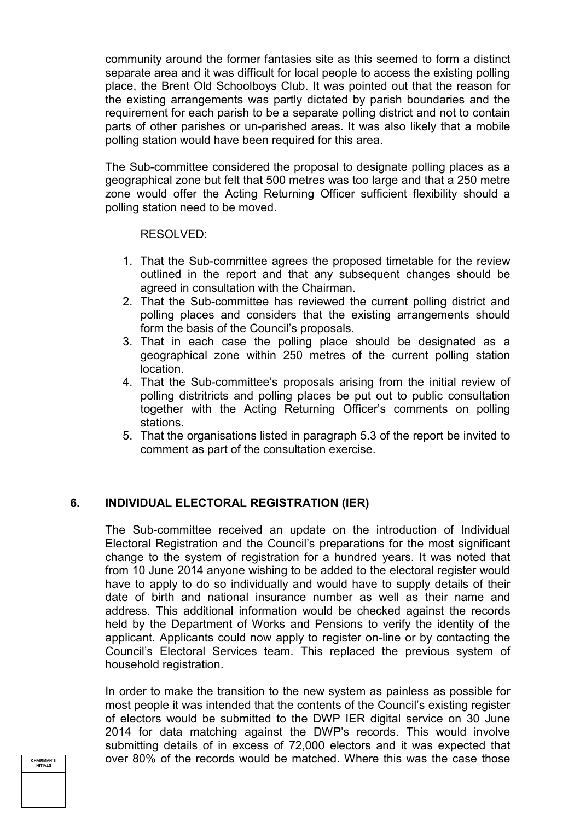community around the former fantasies site as this seemed to form a distinct separate area and it was difficult for local people to access the existing polling place, the Brent Old Schoolboys Club. It was pointed out that the reason for the existing arrangements was partly dictated by parish boundaries and the requirement for each parish to be a separate polling district and not to contain parts of other parishes or un-parished areas. It was also likely that a mobile polling station would have been required for this area.

The Sub-committee considered the proposal to designate polling places as a geographical zone but felt that 500 metres was too large and that a 250 metre zone would offer the Acting Returning Officer sufficient flexibility should a polling station need to be moved.

#### RESOLVED:

- 1. That the Sub-committee agrees the proposed timetable for the review outlined in the report and that any subsequent changes should be agreed in consultation with the Chairman.
- 2. That the Sub-committee has reviewed the current polling district and polling places and considers that the existing arrangements should form the basis of the Council's proposals.
- 3. That in each case the polling place should be designated as a geographical zone within 250 metres of the current polling station location.
- 4. That the Sub-committee's proposals arising from the initial review of polling distritricts and polling places be put out to public consultation together with the Acting Returning Officer's comments on polling stations.
- 5. That the organisations listed in paragraph 5.3 of the report be invited to comment as part of the consultation exercise.

# **6. INDIVIDUAL ELECTORAL REGISTRATION (IER)**

The Sub-committee received an update on the introduction of Individual Electoral Registration and the Council's preparations for the most significant change to the system of registration for a hundred years. It was noted that from 10 June 2014 anyone wishing to be added to the electoral register would have to apply to do so individually and would have to supply details of their date of birth and national insurance number as well as their name and address. This additional information would be checked against the records held by the Department of Works and Pensions to verify the identity of the applicant. Applicants could now apply to register on-line or by contacting the Council's Electoral Services team. This replaced the previous system of household registration.

In order to make the transition to the new system as painless as possible for most people it was intended that the contents of the Council's existing register of electors would be submitted to the DWP IER digital service on 30 June 2014 for data matching against the DWP's records. This would involve submitting details of in excess of 72,000 electors and it was expected that over 80% of the records would be matched. Where this was the case those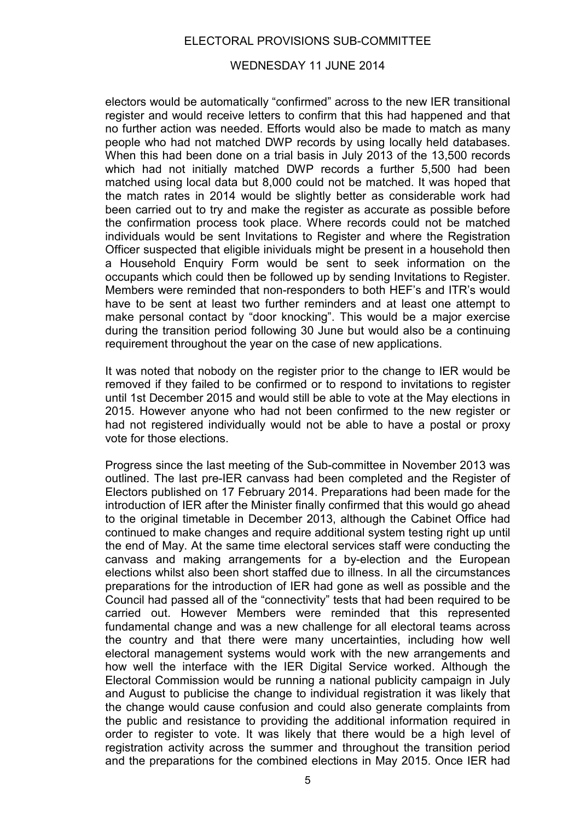## ELECTORAL PROVISIONS SUB-COMMITTEE

#### WEDNESDAY 11 JUNE 2014

electors would be automatically "confirmed" across to the new IER transitional register and would receive letters to confirm that this had happened and that no further action was needed. Efforts would also be made to match as many people who had not matched DWP records by using locally held databases. When this had been done on a trial basis in July 2013 of the 13,500 records which had not initially matched DWP records a further 5,500 had been matched using local data but 8,000 could not be matched. It was hoped that the match rates in 2014 would be slightly better as considerable work had been carried out to try and make the register as accurate as possible before the confirmation process took place. Where records could not be matched individuals would be sent Invitations to Register and where the Registration Officer suspected that eligible inividuals might be present in a household then a Household Enquiry Form would be sent to seek information on the occupants which could then be followed up by sending Invitations to Register. Members were reminded that non-responders to both HEF's and ITR's would have to be sent at least two further reminders and at least one attempt to make personal contact by "door knocking". This would be a major exercise during the transition period following 30 June but would also be a continuing requirement throughout the year on the case of new applications.

It was noted that nobody on the register prior to the change to IER would be removed if they failed to be confirmed or to respond to invitations to register until 1st December 2015 and would still be able to vote at the May elections in 2015. However anyone who had not been confirmed to the new register or had not registered individually would not be able to have a postal or proxy vote for those elections.

Progress since the last meeting of the Sub-committee in November 2013 was outlined. The last pre-IER canvass had been completed and the Register of Electors published on 17 February 2014. Preparations had been made for the introduction of IER after the Minister finally confirmed that this would go ahead to the original timetable in December 2013, although the Cabinet Office had continued to make changes and require additional system testing right up until the end of May. At the same time electoral services staff were conducting the canvass and making arrangements for a by-election and the European elections whilst also been short staffed due to illness. In all the circumstances preparations for the introduction of IER had gone as well as possible and the Council had passed all of the "connectivity" tests that had been required to be carried out. However Members were reminded that this represented fundamental change and was a new challenge for all electoral teams across the country and that there were many uncertainties, including how well electoral management systems would work with the new arrangements and how well the interface with the IER Digital Service worked. Although the Electoral Commission would be running a national publicity campaign in July and August to publicise the change to individual registration it was likely that the change would cause confusion and could also generate complaints from the public and resistance to providing the additional information required in order to register to vote. It was likely that there would be a high level of registration activity across the summer and throughout the transition period and the preparations for the combined elections in May 2015. Once IER had